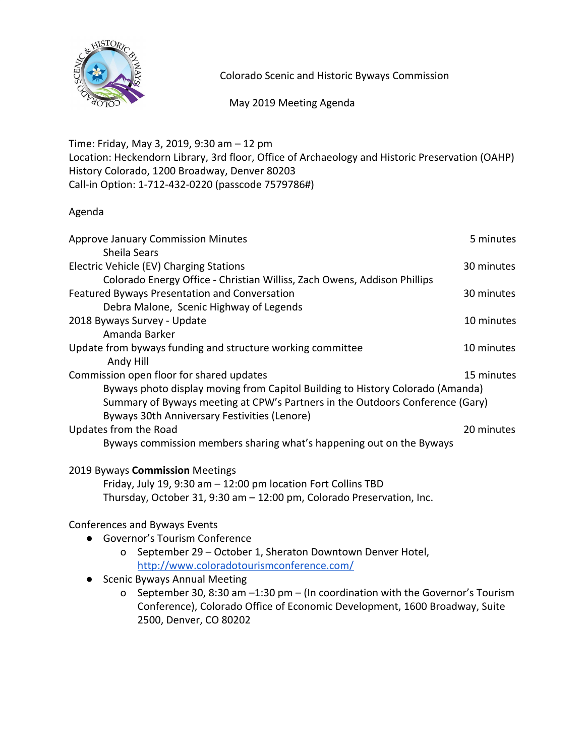

Colorado Scenic and Historic Byways Commission

May 2019 Meeting Agenda

Time: Friday, May 3, 2019, 9:30 am – 12 pm Location: Heckendorn Library, 3rd floor, Office of Archaeology and Historic Preservation (OAHP) History Colorado, 1200 Broadway, Denver 80203 Call-in Option: 1-712-432-0220 (passcode 7579786#)

## Agenda

| <b>Approve January Commission Minutes</b>                                      | 5 minutes  |
|--------------------------------------------------------------------------------|------------|
| Sheila Sears                                                                   |            |
| Electric Vehicle (EV) Charging Stations                                        | 30 minutes |
| Colorado Energy Office - Christian Williss, Zach Owens, Addison Phillips       |            |
| Featured Byways Presentation and Conversation                                  | 30 minutes |
| Debra Malone, Scenic Highway of Legends                                        |            |
| 2018 Byways Survey - Update                                                    | 10 minutes |
| Amanda Barker                                                                  |            |
| Update from byways funding and structure working committee                     | 10 minutes |
| Andy Hill                                                                      |            |
| Commission open floor for shared updates                                       | 15 minutes |
| Byways photo display moving from Capitol Building to History Colorado (Amanda) |            |
| Summary of Byways meeting at CPW's Partners in the Outdoors Conference (Gary)  |            |
| Byways 30th Anniversary Festivities (Lenore)                                   |            |
| Updates from the Road                                                          | 20 minutes |
| Byways commission members sharing what's happening out on the Byways           |            |
| 2019 Byways Commission Meetings                                                |            |
| Friday, July 19, 9:30 am - 12:00 pm location Fort Collins TBD                  |            |

Thursday, October 31, 9:30 am – 12:00 pm, Colorado Preservation, Inc.

## Conferences and Byways Events

- Governor's Tourism Conference
	- o September 29 October 1, Sheraton Downtown Denver Hotel, <http://www.coloradotourismconference.com/>
- Scenic Byways Annual Meeting
	- o September 30, 8:30 am –1:30 pm (In coordination with the Governor's Tourism Conference), Colorado Office of Economic Development, 1600 Broadway, Suite 2500, Denver, CO 80202